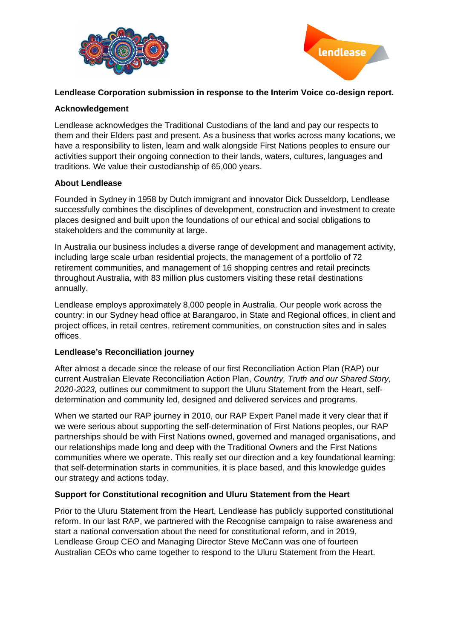



# **Lendlease Corporation submission in response to the Interim Voice co-design report.**

## **Acknowledgement**

Lendlease acknowledges the Traditional Custodians of the land and pay our respects to them and their Elders past and present. As a business that works across many locations, we have a responsibility to listen, learn and walk alongside First Nations peoples to ensure our activities support their ongoing connection to their lands, waters, cultures, languages and traditions. We value their custodianship of 65,000 years.

## **About Lendlease**

Founded in Sydney in 1958 by Dutch immigrant and innovator Dick Dusseldorp, Lendlease successfully combines the disciplines of development, construction and investment to create places designed and built upon the foundations of our ethical and social obligations to stakeholders and the community at large.

In Australia our business includes a diverse range of development and management activity, including large scale urban residential projects, the management of a portfolio of 72 retirement communities, and management of 16 shopping centres and retail precincts throughout Australia, with 83 million plus customers visiting these retail destinations annually.

Lendlease employs approximately 8,000 people in Australia. Our people work across the country: in our Sydney head office at Barangaroo, in State and Regional offices, in client and project offices, in retail centres, retirement communities, on construction sites and in sales offices.

#### **Lendlease's Reconciliation journey**

After almost a decade since the release of our first Reconciliation Action Plan (RAP) our current Australian Elevate Reconciliation Action Plan, *Country, Truth and our Shared Story, 2020-2023,* outlines our commitment to support the Uluru Statement from the Heart, selfdetermination and community led, designed and delivered services and programs.

When we started our RAP journey in 2010, our RAP Expert Panel made it very clear that if we were serious about supporting the self-determination of First Nations peoples, our RAP partnerships should be with First Nations owned, governed and managed organisations, and our relationships made long and deep with the Traditional Owners and the First Nations communities where we operate. This really set our direction and a key foundational learning: that self-determination starts in communities, it is place based, and this knowledge guides our strategy and actions today.

# **Support for Constitutional recognition and Uluru Statement from the Heart**

Prior to the Uluru Statement from the Heart, Lendlease has publicly supported constitutional reform. In our last RAP, we partnered with the Recognise campaign to raise awareness and start a national conversation about the need for constitutional reform, and in 2019, Lendlease Group CEO and Managing Director Steve McCann was one of fourteen Australian CEOs who came together to respond to the Uluru Statement from the Heart.